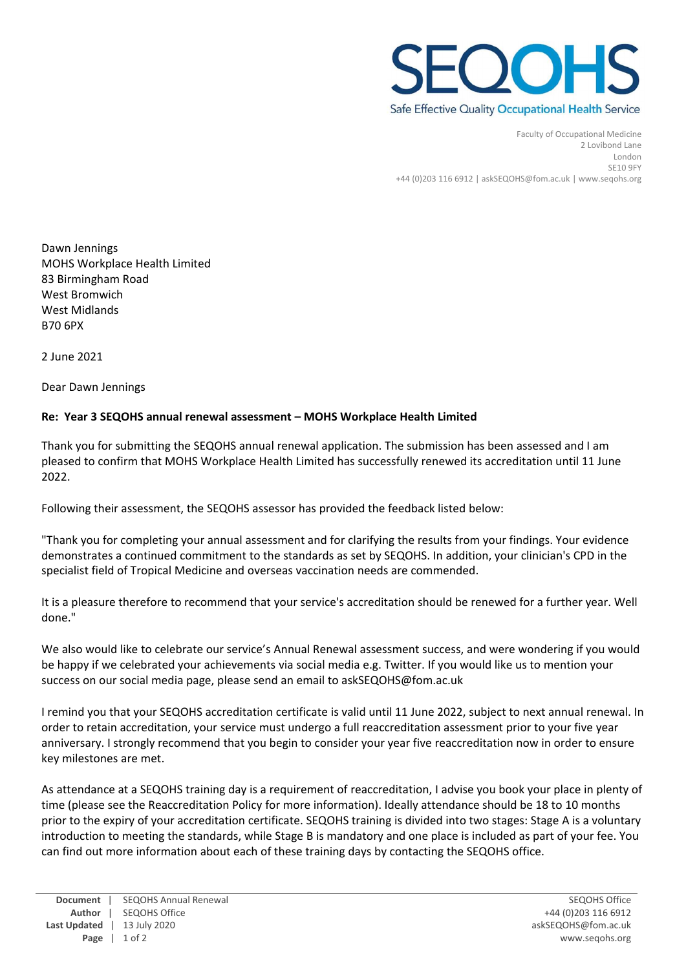

Faculty of Occupational Medicine 2 Lovibond Lane London SE10 9FY +44 (0)203 116 6912 | askSEQOHS@fom.ac.uk | www.seqohs.org

Dawn Jennings MOHS Workplace Health Limited 83 Birmingham Road West Bromwich West Midlands B70 6PX

2 June 2021

Dear Dawn Jennings

## **Re: Year 3 SEQOHS annual renewal assessment – MOHS Workplace Health Limited**

Thank you for submitting the SEQOHS annual renewal application. The submission has been assessed and I am pleased to confirm that MOHS Workplace Health Limited has successfully renewed its accreditation until 11 June 2022.

Following their assessment, the SEQOHS assessor has provided the feedback listed below:

"Thank you for completing your annual assessment and for clarifying the results from your findings. Your evidence demonstrates a continued commitment to the standards as set by SEQOHS. In addition, your clinician's CPD in the specialist field of Tropical Medicine and overseas vaccination needs are commended.

It is a pleasure therefore to recommend that your service's accreditation should be renewed for a further year. Well done."

We also would like to celebrate our service's Annual Renewal assessment success, and were wondering if you would be happy if we celebrated your achievements via social media e.g. Twitter. If you would like us to mention your success on our social media page, please send an email to askSEQOHS@fom.ac.uk

I remind you that your SEQOHS accreditation certificate is valid until 11 June 2022, subject to next annual renewal. In order to retain accreditation, your service must undergo a full reaccreditation assessment prior to your five year anniversary. I strongly recommend that you begin to consider your year five reaccreditation now in order to ensure key milestones are met.

As attendance at a SEQOHS training day is a requirement of reaccreditation, I advise you book your place in plenty of time (please see the Reaccreditation Policy for more information). Ideally attendance should be 18 to 10 months prior to the expiry of your accreditation certificate. SEQOHS training is divided into two stages: Stage A is a voluntary introduction to meeting the standards, while Stage B is mandatory and one place is included as part of your fee. You can find out more information about each of these training days by contacting the SEQOHS office.